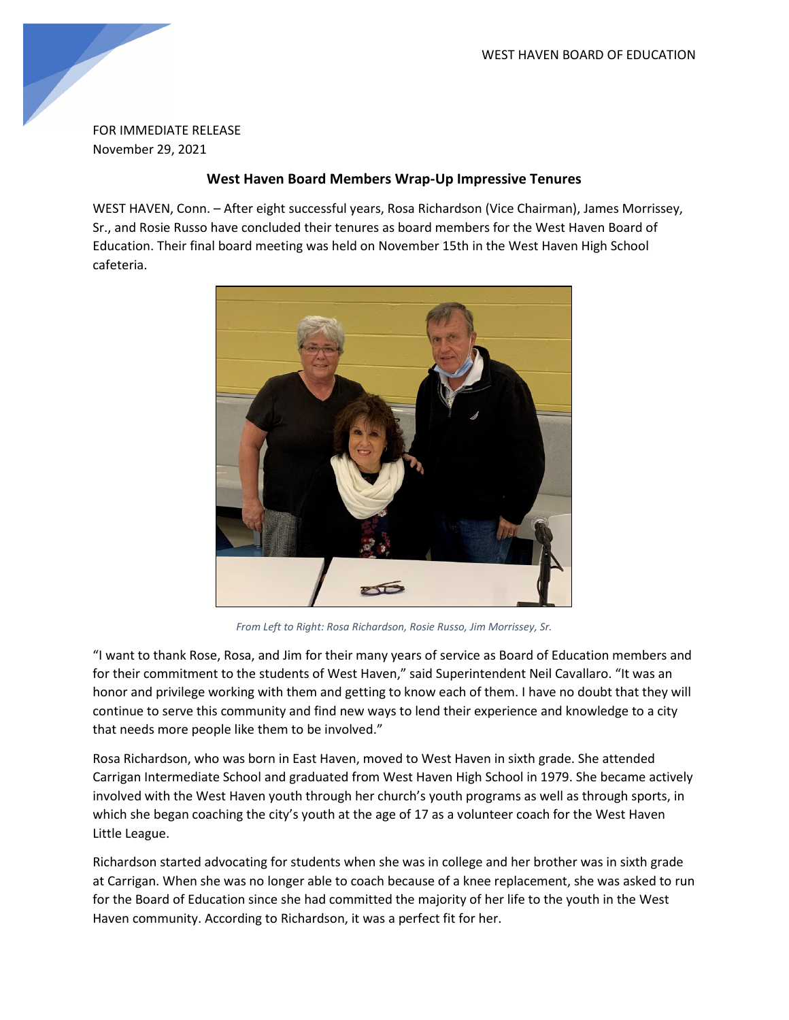

FOR IMMEDIATE RELEASE November 29, 2021

## **West Haven Board Members Wrap-Up Impressive Tenures**

WEST HAVEN, Conn. – After eight successful years, Rosa Richardson (Vice Chairman), James Morrissey, Sr., and Rosie Russo have concluded their tenures as board members for the West Haven Board of Education. Their final board meeting was held on November 15th in the West Haven High School cafeteria.



*From Left to Right: Rosa Richardson, Rosie Russo, Jim Morrissey, Sr.*

"I want to thank Rose, Rosa, and Jim for their many years of service as Board of Education members and for their commitment to the students of West Haven," said Superintendent Neil Cavallaro. "It was an honor and privilege working with them and getting to know each of them. I have no doubt that they will continue to serve this community and find new ways to lend their experience and knowledge to a city that needs more people like them to be involved."

Rosa Richardson, who was born in East Haven, moved to West Haven in sixth grade. She attended Carrigan Intermediate School and graduated from West Haven High School in 1979. She became actively involved with the West Haven youth through her church's youth programs as well as through sports, in which she began coaching the city's youth at the age of 17 as a volunteer coach for the West Haven Little League.

Richardson started advocating for students when she was in college and her brother was in sixth grade at Carrigan. When she was no longer able to coach because of a knee replacement, she was asked to run for the Board of Education since she had committed the majority of her life to the youth in the West Haven community. According to Richardson, it was a perfect fit for her.